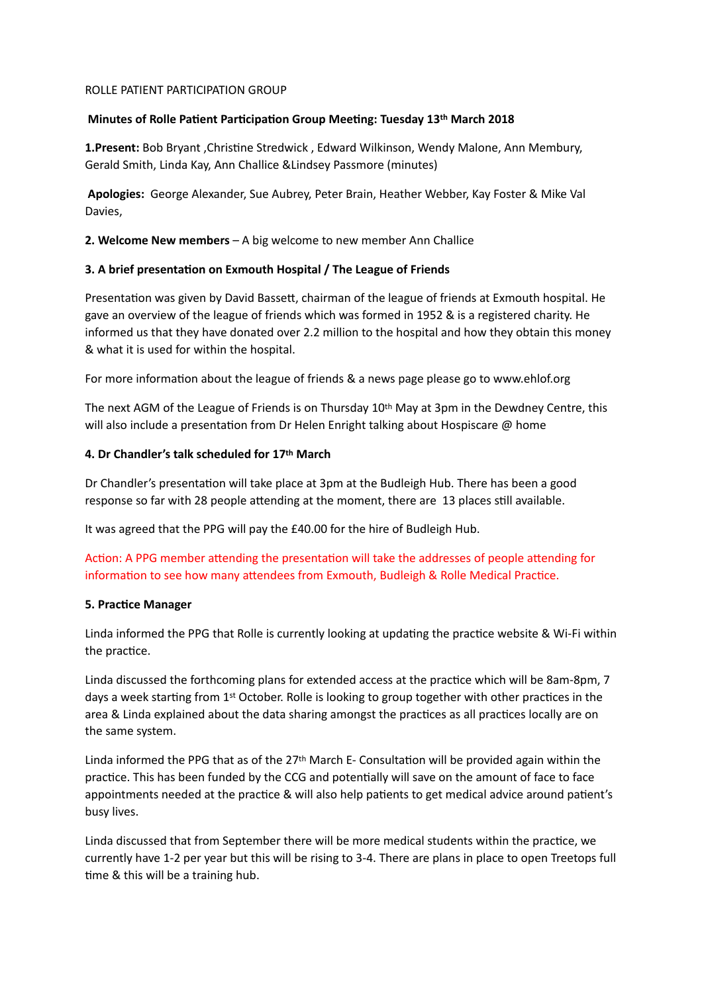#### ROLLE PATIENT PARTICIPATION GROUP

#### **Minutes of Rolle Patient Participation Group Meeting: Tuesday 13th March 2018**

1.Present: Bob Bryant , Christine Stredwick , Edward Wilkinson, Wendy Malone, Ann Membury, Gerald Smith, Linda Kay, Ann Challice &Lindsey Passmore (minutes)

 **Apologies:** George Alexander, Sue Aubrey, Peter Brain, Heather Webber, Kay Foster & Mike Val Davies,

**2. Welcome New members** – A big welcome to new member Ann Challice

# **3. A brief presentation on Exmouth Hospital / The League of Friends**

Presentation was given by David Bassett, chairman of the league of friends at Exmouth hospital. He gave an overview of the league of friends which was formed in 1952 & is a registered charity. He informed us that they have donated over 2.2 million to the hospital and how they obtain this money & what it is used for within the hospital.

For more information about the league of friends & a news page please go to www.ehlof.org

The next AGM of the League of Friends is on Thursday 10th May at 3pm in the Dewdney Centre, this will also include a presentation from Dr Helen Enright talking about Hospiscare  $@$  home

# **4. Dr Chandler's talk scheduled for 17th March**

Dr Chandler's presentation will take place at 3pm at the Budleigh Hub. There has been a good response so far with 28 people attending at the moment, there are 13 places still available.

It was agreed that the PPG will pay the £40.00 for the hire of Budleigh Hub.

Action: A PPG member attending the presentation will take the addresses of people attending for information to see how many attendees from Exmouth, Budleigh & Rolle Medical Practice.

#### **5. Practice Manager**

Linda informed the PPG that Rolle is currently looking at updating the practice website & Wi-Fi within the practice.

Linda discussed the forthcoming plans for extended access at the practice which will be 8am-8pm, 7 days a week starting from 1st October. Rolle is looking to group together with other practices in the area & Linda explained about the data sharing amongst the practices as all practices locally are on the same system.

Linda informed the PPG that as of the  $27<sup>th</sup>$  March E- Consultation will be provided again within the practice. This has been funded by the CCG and potentially will save on the amount of face to face appointments needed at the practice & will also help patients to get medical advice around patient's busy lives.

Linda discussed that from September there will be more medical students within the practice, we currently have 1-2 per year but this will be rising to 3-4. There are plans in place to open Treetops full time & this will be a training hub.